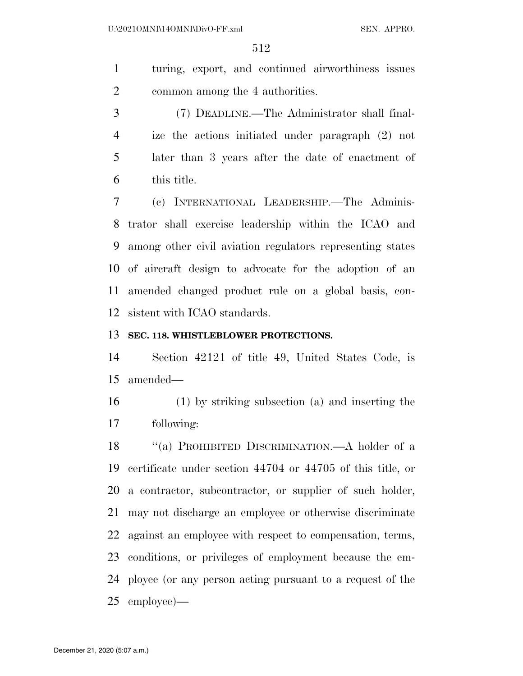turing, export, and continued airworthiness issues common among the 4 authorities.

 (7) DEADLINE.—The Administrator shall final- ize the actions initiated under paragraph (2) not later than 3 years after the date of enactment of this title.

 (c) INTERNATIONAL LEADERSHIP.—The Adminis- trator shall exercise leadership within the ICAO and among other civil aviation regulators representing states of aircraft design to advocate for the adoption of an amended changed product rule on a global basis, con-sistent with ICAO standards.

## **SEC. 118. WHISTLEBLOWER PROTECTIONS.**

 Section 42121 of title 49, United States Code, is amended—

 (1) by striking subsection (a) and inserting the following:

 ''(a) PROHIBITED DISCRIMINATION.—A holder of a certificate under section 44704 or 44705 of this title, or a contractor, subcontractor, or supplier of such holder, may not discharge an employee or otherwise discriminate against an employee with respect to compensation, terms, conditions, or privileges of employment because the em- ployee (or any person acting pursuant to a request of the employee)—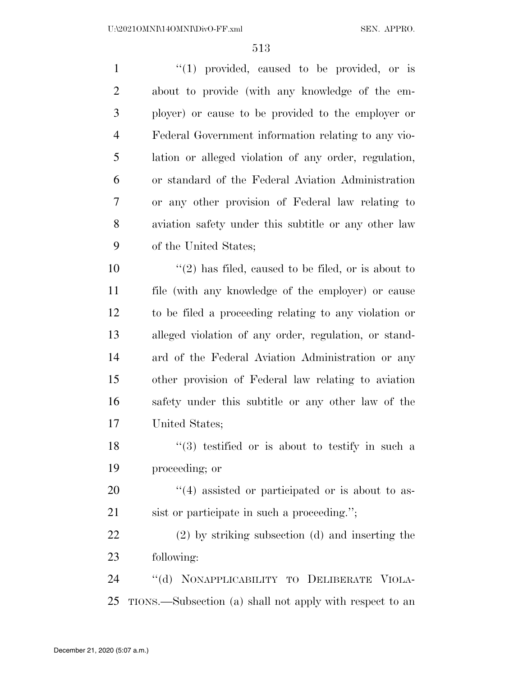| $\mathbf{1}$   | $(1)$ provided, caused to be provided, or is             |
|----------------|----------------------------------------------------------|
| $\overline{2}$ | about to provide (with any knowledge of the em-          |
| 3              | ployer) or cause to be provided to the employer or       |
| $\overline{4}$ | Federal Government information relating to any vio-      |
| 5              | lation or alleged violation of any order, regulation,    |
| 6              | or standard of the Federal Aviation Administration       |
| 7              | or any other provision of Federal law relating to        |
| 8              | aviation safety under this subtitle or any other law     |
| 9              | of the United States;                                    |
| 10             | $\lq(2)$ has filed, caused to be filed, or is about to   |
| 11             | file (with any knowledge of the employer) or cause       |
| 12             | to be filed a proceeding relating to any violation or    |
| 13             | alleged violation of any order, regulation, or stand-    |
| 14             | ard of the Federal Aviation Administration or any        |
| 15             | other provision of Federal law relating to aviation      |
| 16             | safety under this subtitle or any other law of the       |
| $17\,$         | United States;                                           |
| 18             | $(3)$ testified or is about to testify in such a         |
| 19             | proceeding; or                                           |
| 20             | $\lq(4)$ assisted or participated or is about to as-     |
| 21             | sist or participate in such a proceeding.";              |
| 22             | (2) by striking subsection (d) and inserting the         |
| 23             | following:                                               |
| 24             | "(d) NONAPPLICABILITY TO DELIBERATE VIOLA-               |
| 25             | TIONS.—Subsection (a) shall not apply with respect to an |